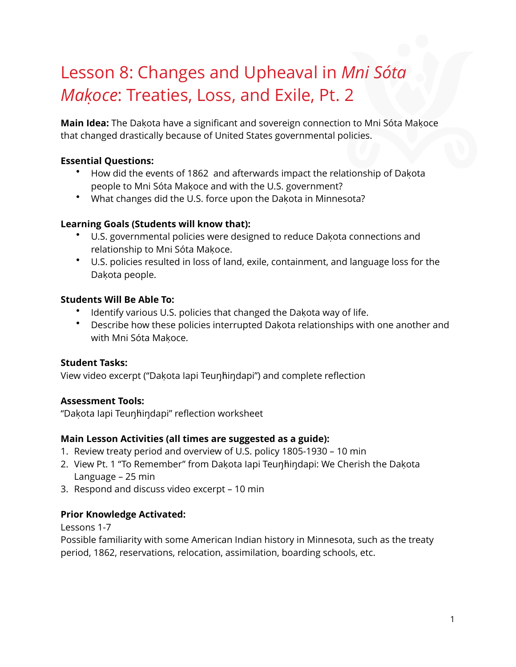# Lesson 8: Changes and Upheaval in *Mni Sóta Makoc̣ e*: Treaties, Loss, and Exile, Pt. 2

**Main Idea:** The Dakota have a significant and sovereign connection to Mni Sóta Makoce that changed drastically because of United States governmental policies.

# **Essential Questions:**

- How did the events of 1862 and afterwards impact the relationship of Dakota ̣ people to Mni Sóta Makoce and with the U.S. government?
- What changes did the U.S. force upon the Dakota in Minnesota?

## **Learning Goals (Students will know that):**

- U.S. governmental policies were designed to reduce Dakota connections and relationship to Mni Sóta Makoce.
- U.S. policies resulted in loss of land, exile, containment, and language loss for the Dakota people.

## **Students Will Be Able To:**

- Identify various U.S. policies that changed the Dakota way of life.
- Describe how these policies interrupted Dakota relationships with one another and with Mni Sóta Makoce.

## **Student Tasks:**

View video excerpt ("Dakota lapi Teunhindapi") and complete reflection

# **Assessment Tools:**

"Dakota ̣ Iapi Teuŋḣiŋdapi" reflection worksheet

## **Main Lesson Activities (all times are suggested as a guide):**

- 1. Review treaty period and overview of U.S. policy 1805-1930 10 min
- 2. View Pt. 1 "To Remember" from Dakota lapi Teunhindapi: We Cherish the Dakota Language – 25 min
- 3. Respond and discuss video excerpt 10 min

# **Prior Knowledge Activated:**

Lessons 1-7

Possible familiarity with some American Indian history in Minnesota, such as the treaty period, 1862, reservations, relocation, assimilation, boarding schools, etc.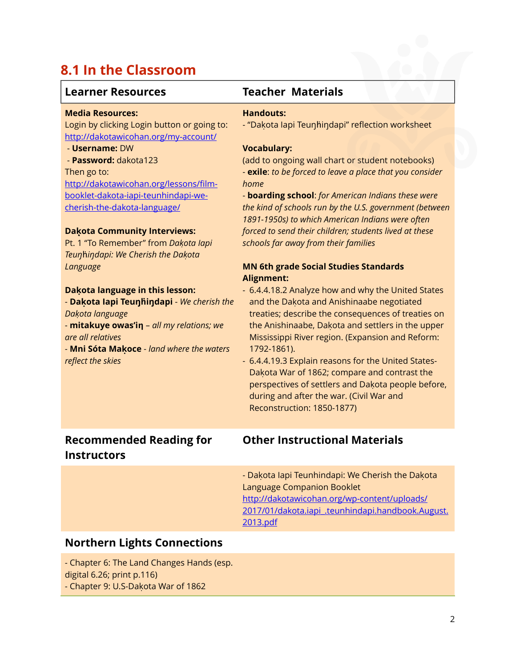# **8.1 In the Classroom**

# **Learner Resources Teacher Materials**

#### **Media Resources:**

Login by clicking Login button or going to: <http://dakotawicohan.org/my-account/>

#### - **Username:** DW

 - **Password:** dakota123 Then go to: http://dakotawicohan.org/lessons/film[booklet-dakota-iapi-teunhindapi-we](http://dakotawicohan.org/lessons/film-booklet-dakota-iapi-teunhindapi-we-cherish-the-dakota-language/)cherish-the-dakota-language/

#### **Daḳota Community Interviews:**

Pt. 1 "To Remember" from *Dakoṭ a Iapi Teuŋ*ḣ*iŋdapi: We Cherish the Dakoṭ a Language*

#### **Dakọ ta language in this lesson:**

- **Dakọ ta Iapi Teuŋḣiŋdapi** - *We cherish the Dakoṭ a language*

- **mitakuye owas'iƞ** – *all my relations; we are all relatives*

- **Mni Sóta Makọ ce** - *land where the waters reflect the skies*

#### **Handouts:**

- "Dakota lapi Teuŋhiŋdapi" reflection worksheet

#### **Vocabulary:**

(add to ongoing wall chart or student notebooks) - **exile**: *to be forced to leave a place that you consider home*

- **boarding school**: *for American Indians these were the kind of schools run by the U.S. government (between 1891-1950s) to which American Indians were often forced to send their children; students lived at these schools far away from their families*

### **MN 6th grade Social Studies Standards Alignment:**

- 6.4.4.18.2 Analyze how and why the United States and the Dakota and Anishinaabe negotiated treaties; describe the consequences of treaties on the Anishinaabe, Dakota and settlers in the upper Mississippi River region. (Expansion and Reform: 1792-1861).
- 6.4.4.19.3 Explain reasons for the United States-Dakota War of 1862; compare and contrast the perspectives of settlers and Dakota people before, during and after the war. (Civil War and Reconstruction: 1850-1877)

# **Recommended Reading for Instructors**

# **Other Instructional Materials**

- Dakota lapi Teunhindapi: We Cherish the Dakota Language Companion Booklet http://dakotawicohan.org/wp-content/uploads/ [2017/01/dakota.iapi\\_.teunhindapi.handbook.August.](http://dakotawicohan.org/wp-content/uploads/2017/01/dakota.iapi_.teunhindapi.handbook.August.2013.pdf) 2013.pdf

# **Northern Lights Connections**

- Chapter 6: The Land Changes Hands (esp. digital 6.26; print p.116) - Chapter 9: U.S-Dakota War of 1862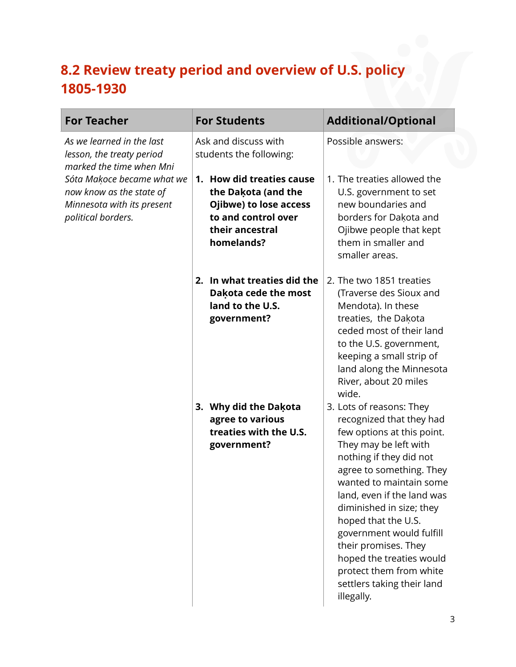# **8.2 Review treaty period and overview of U.S. policy 1805-1930**

| <b>For Teacher</b>                                                                                         | <b>For Students</b>                                                                                                                | <b>Additional/Optional</b>                                                                                                                                                                                                                                                                                                                                                                                                            |
|------------------------------------------------------------------------------------------------------------|------------------------------------------------------------------------------------------------------------------------------------|---------------------------------------------------------------------------------------------------------------------------------------------------------------------------------------------------------------------------------------------------------------------------------------------------------------------------------------------------------------------------------------------------------------------------------------|
| As we learned in the last<br>lesson, the treaty period<br>marked the time when Mni                         | Ask and discuss with<br>students the following:                                                                                    | Possible answers:                                                                                                                                                                                                                                                                                                                                                                                                                     |
| Sóta Makoce became what we<br>now know as the state of<br>Minnesota with its present<br>political borders. | 1. How did treaties cause<br>the Dakota (and the<br>Ojibwe) to lose access<br>to and control over<br>their ancestral<br>homelands? | 1. The treaties allowed the<br>U.S. government to set<br>new boundaries and<br>borders for Dakota and<br>Ojibwe people that kept<br>them in smaller and<br>smaller areas.                                                                                                                                                                                                                                                             |
|                                                                                                            | 2. In what treaties did the<br>Dakota cede the most<br>land to the U.S.<br>government?                                             | 2. The two 1851 treaties<br>(Traverse des Sioux and<br>Mendota). In these<br>treaties, the Dakota<br>ceded most of their land<br>to the U.S. government,<br>keeping a small strip of<br>land along the Minnesota<br>River, about 20 miles<br>wide.                                                                                                                                                                                    |
|                                                                                                            | 3. Why did the Dakota<br>agree to various<br>treaties with the U.S.<br>government?                                                 | 3. Lots of reasons: They<br>recognized that they had<br>few options at this point.<br>They may be left with<br>nothing if they did not<br>agree to something. They<br>wanted to maintain some<br>land, even if the land was<br>diminished in size; they<br>hoped that the U.S.<br>government would fulfill<br>their promises. They<br>hoped the treaties would<br>protect them from white<br>settlers taking their land<br>illegally. |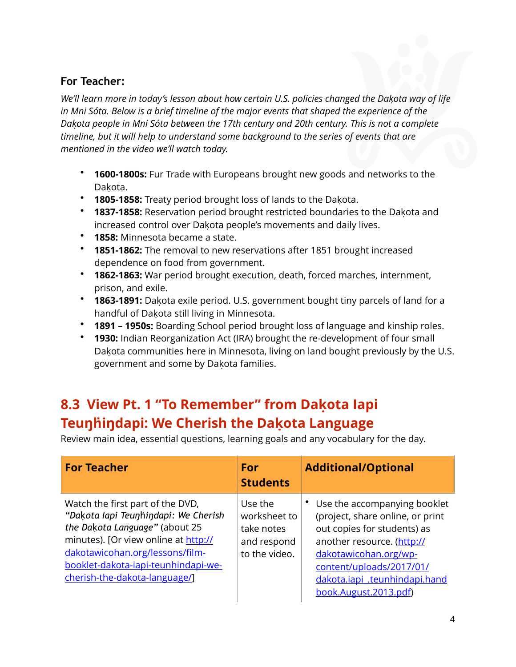# **For Teacher:**

We'll learn more in today's lesson about how certain U.S. policies changed the Dakota way of life *in Mni Sóta. Below is a brief timeline of the major events that shaped the experience of the*  Dakota people in Mni Sóta between the 17th century and 20th century. This is not a complete *timeline, but it will help to understand some background to the series of events that are mentioned in the video we'll watch today.* 

- **1600-1800s:** Fur Trade with Europeans brought new goods and networks to the Dakota.
- **1805-1858:** Treaty period brought loss of lands to the Dakota ̣ .
- **1837-1858:** Reservation period brought restricted boundaries to the Dakota ̣ and increased control over Dakota people's movements and daily lives.
- **1858:** Minnesota became a state.
- **1851-1862:** The removal to new reservations after 1851 brought increased dependence on food from government.
- **1862-1863:** War period brought execution, death, forced marches, internment, prison, and exile.
- \* **1863-1891:** Dakota exile period. U.S. government bought tiny parcels of land for a handful of Dakota still living in Minnesota.
- **1891 1950s:** Boarding School period brought loss of language and kinship roles.
- **1930:** Indian Reorganization Act (IRA) brought the re-development of four small Dakota communities here in Minnesota, living on land bought previously by the U.S. government and some by Dakota families.

# **8.3 View Pt. 1 "To Remember" from Dakọ ta Iapi Teuŋḣiŋdapi: We Cherish the Dakọ ta Language**

Review main idea, essential questions, learning goals and any vocabulary for the day.

| <b>For Teacher</b>                                                                                                                                                                                                                                            | For<br><b>Students</b>                                                | <b>Additional/Optional</b>                                                                                                                                                                                                                   |
|---------------------------------------------------------------------------------------------------------------------------------------------------------------------------------------------------------------------------------------------------------------|-----------------------------------------------------------------------|----------------------------------------------------------------------------------------------------------------------------------------------------------------------------------------------------------------------------------------------|
| Watch the first part of the DVD,<br>"Dakota lapi Teunhindapi: We Cherish<br>the Dakota Language" (about 25<br>minutes). [Or view online at http://<br>dakotawicohan.org/lessons/film-<br>booklet-dakota-iapi-teunhindapi-we-<br>cherish-the-dakota-language/] | Use the<br>worksheet to<br>take notes<br>and respond<br>to the video. | Use the accompanying booklet<br>(project, share online, or print<br>out copies for students) as<br>another resource. (http://<br>dakotawicohan.org/wp-<br>content/uploads/2017/01/<br>dakota.iapi_.teunhindapi.hand<br>book.August.2013.pdf) |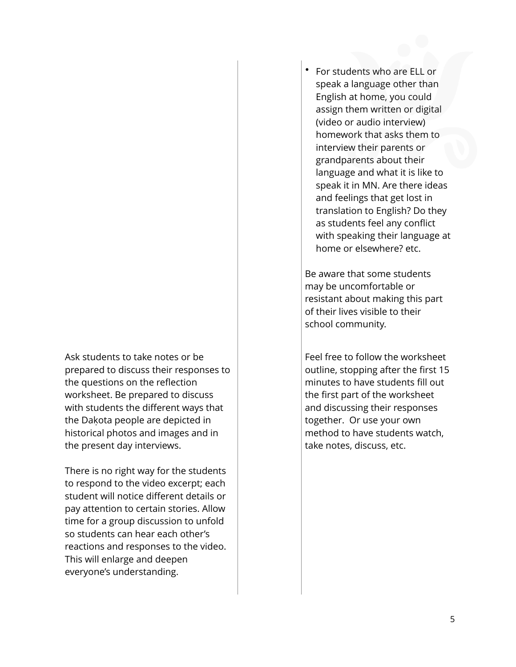Ask students to take notes or be prepared to discuss their responses to the questions on the reflection worksheet. Be prepared to discuss with students the different ways that the Dakota people are depicted in historical photos and images and in the present day interviews.

There is no right way for the students to respond to the video excerpt; each student will notice different details or pay attention to certain stories. Allow time for a group discussion to unfold so students can hear each other's reactions and responses to the video. This will enlarge and deepen everyone's understanding.

• For students who are ELL or speak a language other than English at home, you could assign them written or digital (video or audio interview) homework that asks them to interview their parents or grandparents about their language and what it is like to speak it in MN. Are there ideas and feelings that get lost in translation to English? Do they as students feel any conflict with speaking their language at home or elsewhere? etc.

Be aware that some students may be uncomfortable or resistant about making this part of their lives visible to their school community.

Feel free to follow the worksheet outline, stopping after the first 15 minutes to have students fill out the first part of the worksheet and discussing their responses together. Or use your own method to have students watch, take notes, discuss, etc.